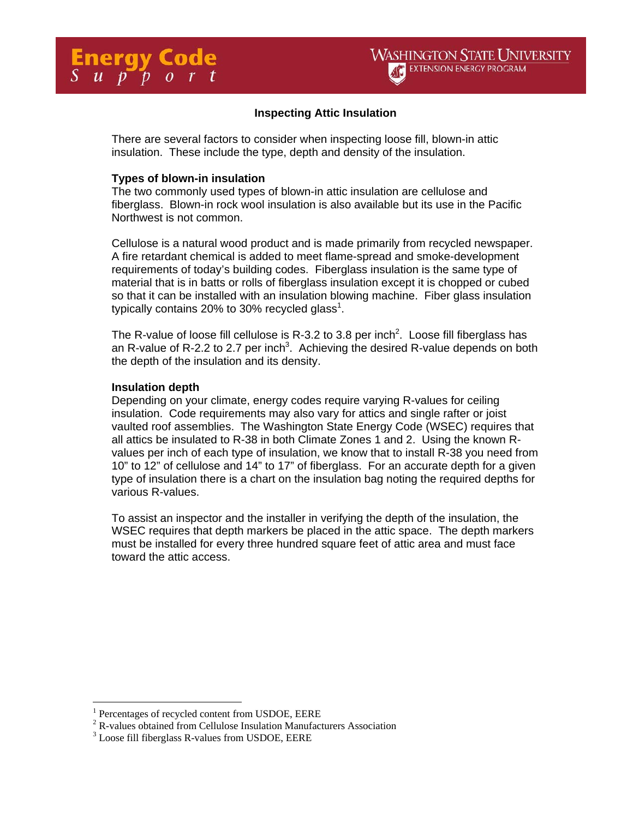## **Inspecting Attic Insulation**

There are several factors to consider when inspecting loose fill, blown-in attic insulation. These include the type, depth and density of the insulation.

#### **Types of blown-in insulation**

The two commonly used types of blown-in attic insulation are cellulose and fiberglass. Blown-in rock wool insulation is also available but its use in the Pacific Northwest is not common.

Cellulose is a natural wood product and is made primarily from recycled newspaper. A fire retardant chemical is added to meet flame-spread and smoke-development requirements of today's building codes. Fiberglass insulation is the same type of material that is in batts or rolls of fiberglass insulation except it is chopped or cubed so that it can be installed with an insulation blowing machine. Fiber glass insulation typically contains 20% to 30% recycled glass<sup>1</sup>.

The R-value of loose fill cellulose is R-3.2 to 3.8 per inch<sup>2</sup>. Loose fill fiberglass has an R-value of R-2.2 to 2.7 per inch<sup>3</sup>. Achieving the desired R-value depends on both the depth of the insulation and its density.

### **Insulation depth**

Depending on your climate, energy codes require varying R-values for ceiling insulation. Code requirements may also vary for attics and single rafter or joist vaulted roof assemblies. The Washington State Energy Code (WSEC) requires that all attics be insulated to R-38 in both Climate Zones 1 and 2. Using the known Rvalues per inch of each type of insulation, we know that to install R-38 you need from 10" to 12" of cellulose and 14" to 17" of fiberglass. For an accurate depth for a given type of insulation there is a chart on the insulation bag noting the required depths for various R-values.

To assist an inspector and the installer in verifying the depth of the insulation, the WSEC requires that depth markers be placed in the attic space. The depth markers must be installed for every three hundred square feet of attic area and must face toward the attic access.

 $\overline{a}$ 

 $\frac{1}{2}$  Percentages of recycled content from USDOE, EERE  $\frac{2}{5}$  P velves obtained from Callulage Insulation Manufact

 $2^2$  R-values obtained from Cellulose Insulation Manufacturers Association

 $3$  Loose fill fiberglass R-values from USDOE, EERE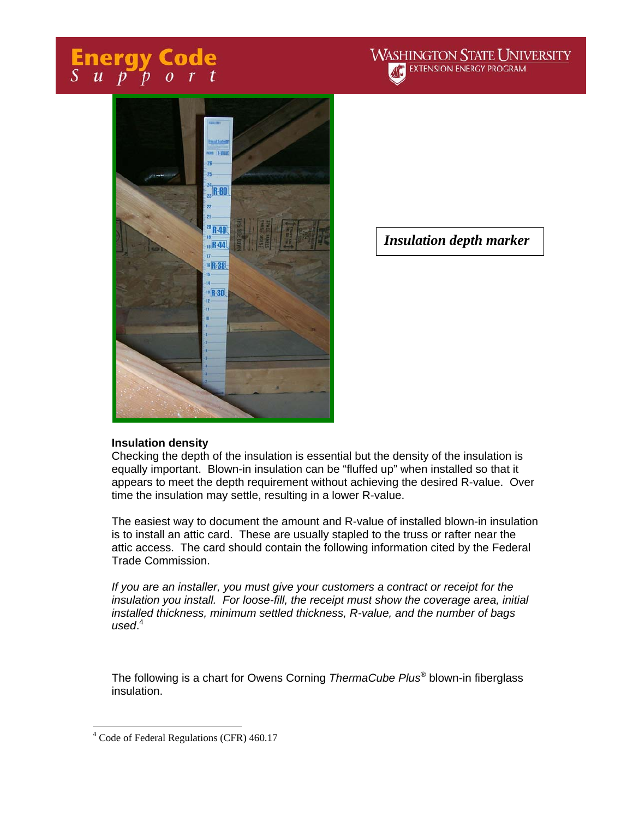# **Energy Code**<br>Support





*Insulation depth marker* 

### **Insulation density**

Checking the depth of the insulation is essential but the density of the insulation is equally important. Blown-in insulation can be "fluffed up" when installed so that it appears to meet the depth requirement without achieving the desired R-value. Over time the insulation may settle, resulting in a lower R-value.

The easiest way to document the amount and R-value of installed blown-in insulation is to install an attic card. These are usually stapled to the truss or rafter near the attic access. The card should contain the following information cited by the Federal Trade Commission.

*If you are an installer, you must give your customers a contract or receipt for the insulation you install. For loose-fill, the receipt must show the coverage area, initial installed thickness, minimum settled thickness, R-value, and the number of bags used*. 4

The following is a chart for Owens Corning *ThermaCube Plus*® blown-in fiberglass insulation.

 $\overline{a}$ 

<sup>&</sup>lt;sup>4</sup> Code of Federal Regulations (CFR) 460.17